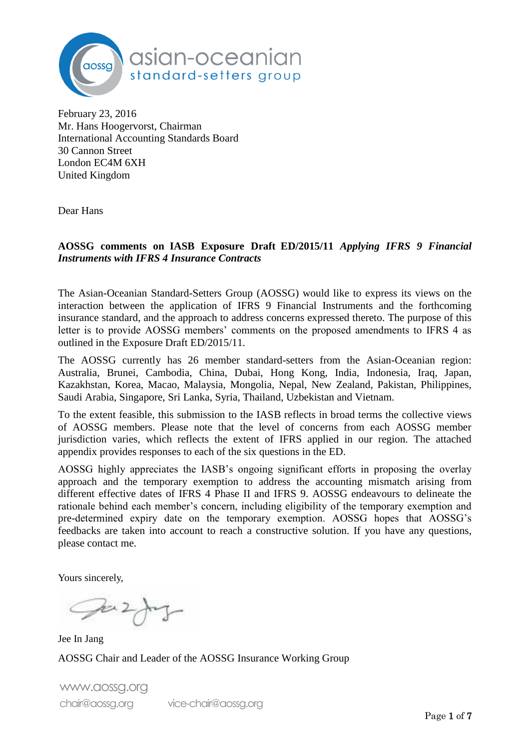

February 23, 2016 Mr. Hans Hoogervorst, Chairman International Accounting Standards Board 30 Cannon Street London EC4M 6XH United Kingdom

Dear Hans

#### **AOSSG comments on IASB Exposure Draft ED/2015/11** *Applying IFRS 9 Financial Instruments with IFRS 4 Insurance Contracts*

The Asian-Oceanian Standard-Setters Group (AOSSG) would like to express its views on the interaction between the application of IFRS 9 Financial Instruments and the forthcoming insurance standard, and the approach to address concerns expressed thereto. The purpose of this letter is to provide AOSSG members' comments on the proposed amendments to IFRS 4 as outlined in the Exposure Draft ED/2015/11.

The AOSSG currently has 26 member standard-setters from the Asian-Oceanian region: Australia, Brunei, Cambodia, China, Dubai, Hong Kong, India, Indonesia, Iraq, Japan, Kazakhstan, Korea, Macao, Malaysia, Mongolia, Nepal, New Zealand, Pakistan, Philippines, Saudi Arabia, Singapore, Sri Lanka, Syria, Thailand, Uzbekistan and Vietnam.

To the extent feasible, this submission to the IASB reflects in broad terms the collective views of AOSSG members. Please note that the level of concerns from each AOSSG member jurisdiction varies, which reflects the extent of IFRS applied in our region. The attached appendix provides responses to each of the six questions in the ED.

AOSSG highly appreciates the IASB's ongoing significant efforts in proposing the overlay approach and the temporary exemption to address the accounting mismatch arising from different effective dates of IFRS 4 Phase II and IFRS 9. AOSSG endeavours to delineate the rationale behind each member's concern, including eligibility of the temporary exemption and pre-determined expiry date on the temporary exemption. AOSSG hopes that AOSSG's feedbacks are taken into account to reach a constructive solution. If you have any questions, please contact me.

Yours sincerely,

 $2\pi$ 

Jee In Jang AOSSG Chair and Leader of the AOSSG Insurance Working Group

www.aossg.org chair@aossg.org vice-chair@aossg.org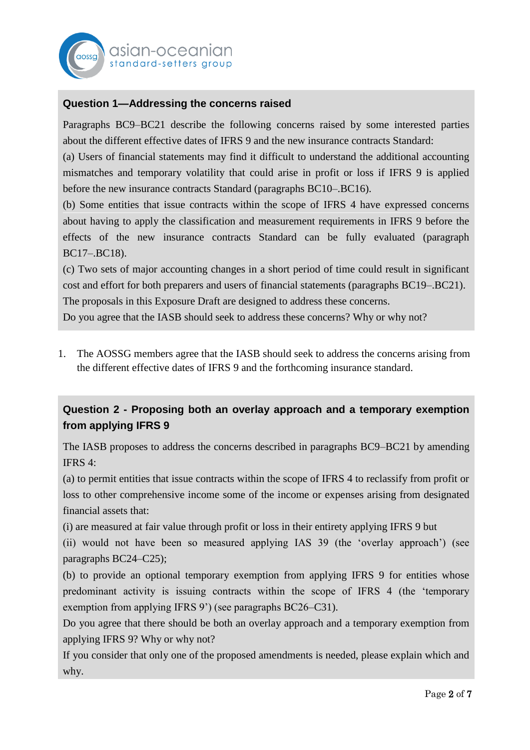

## **Question 1—Addressing the concerns raised**

Paragraphs BC9–BC21 describe the following concerns raised by some interested parties about the different effective dates of IFRS 9 and the new insurance contracts Standard:

(a) Users of financial statements may find it difficult to understand the additional accounting mismatches and temporary volatility that could arise in profit or loss if IFRS 9 is applied before the new insurance contracts Standard (paragraphs BC10–.BC16).

(b) Some entities that issue contracts within the scope of IFRS 4 have expressed concerns about having to apply the classification and measurement requirements in IFRS 9 before the effects of the new insurance contracts Standard can be fully evaluated (paragraph BC17–.BC18).

(c) Two sets of major accounting changes in a short period of time could result in significant cost and effort for both preparers and users of financial statements (paragraphs BC19–.BC21). The proposals in this Exposure Draft are designed to address these concerns.

Do you agree that the IASB should seek to address these concerns? Why or why not?

1. The AOSSG members agree that the IASB should seek to address the concerns arising from the different effective dates of IFRS 9 and the forthcoming insurance standard.

# **Question 2 - Proposing both an overlay approach and a temporary exemption from applying IFRS 9**

The IASB proposes to address the concerns described in paragraphs BC9–BC21 by amending IFRS 4:

(a) to permit entities that issue contracts within the scope of IFRS 4 to reclassify from profit or loss to other comprehensive income some of the income or expenses arising from designated financial assets that:

(i) are measured at fair value through profit or loss in their entirety applying IFRS 9 but

(ii) would not have been so measured applying IAS 39 (the 'overlay approach') (see paragraphs BC24–C25);

(b) to provide an optional temporary exemption from applying IFRS 9 for entities whose predominant activity is issuing contracts within the scope of IFRS 4 (the 'temporary exemption from applying IFRS 9') (see paragraphs BC26–C31).

Do you agree that there should be both an overlay approach and a temporary exemption from applying IFRS 9? Why or why not?

If you consider that only one of the proposed amendments is needed, please explain which and why.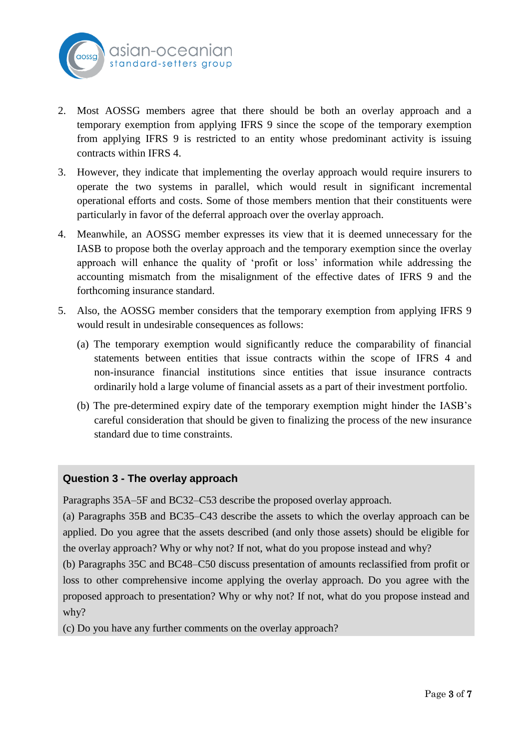

- 2. Most AOSSG members agree that there should be both an overlay approach and a temporary exemption from applying IFRS 9 since the scope of the temporary exemption from applying IFRS 9 is restricted to an entity whose predominant activity is issuing contracts within IFRS 4.
- 3. However, they indicate that implementing the overlay approach would require insurers to operate the two systems in parallel, which would result in significant incremental operational efforts and costs. Some of those members mention that their constituents were particularly in favor of the deferral approach over the overlay approach.
- 4. Meanwhile, an AOSSG member expresses its view that it is deemed unnecessary for the IASB to propose both the overlay approach and the temporary exemption since the overlay approach will enhance the quality of 'profit or loss' information while addressing the accounting mismatch from the misalignment of the effective dates of IFRS 9 and the forthcoming insurance standard.
- 5. Also, the AOSSG member considers that the temporary exemption from applying IFRS 9 would result in undesirable consequences as follows:
	- (a) The temporary exemption would significantly reduce the comparability of financial statements between entities that issue contracts within the scope of IFRS 4 and non-insurance financial institutions since entities that issue insurance contracts ordinarily hold a large volume of financial assets as a part of their investment portfolio.
	- (b) The pre-determined expiry date of the temporary exemption might hinder the IASB's careful consideration that should be given to finalizing the process of the new insurance standard due to time constraints.

#### **Question 3 - The overlay approach**

Paragraphs 35A–5F and BC32–C53 describe the proposed overlay approach.

(a) Paragraphs 35B and BC35–C43 describe the assets to which the overlay approach can be applied. Do you agree that the assets described (and only those assets) should be eligible for the overlay approach? Why or why not? If not, what do you propose instead and why?

(b) Paragraphs 35C and BC48–C50 discuss presentation of amounts reclassified from profit or loss to other comprehensive income applying the overlay approach. Do you agree with the proposed approach to presentation? Why or why not? If not, what do you propose instead and why?

(c) Do you have any further comments on the overlay approach?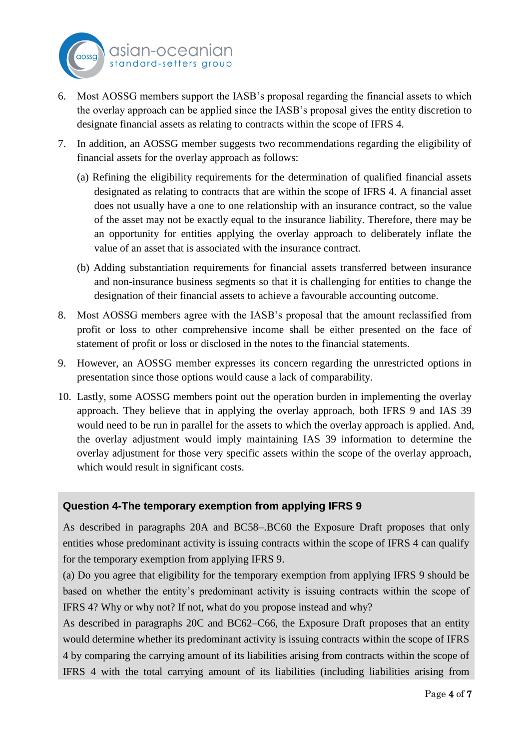

- 6. Most AOSSG members support the IASB's proposal regarding the financial assets to which the overlay approach can be applied since the IASB's proposal gives the entity discretion to designate financial assets as relating to contracts within the scope of IFRS 4.
- 7. In addition, an AOSSG member suggests two recommendations regarding the eligibility of financial assets for the overlay approach as follows:
	- (a) Refining the eligibility requirements for the determination of qualified financial assets designated as relating to contracts that are within the scope of IFRS 4. A financial asset does not usually have a one to one relationship with an insurance contract, so the value of the asset may not be exactly equal to the insurance liability. Therefore, there may be an opportunity for entities applying the overlay approach to deliberately inflate the value of an asset that is associated with the insurance contract.
	- (b) Adding substantiation requirements for financial assets transferred between insurance and non-insurance business segments so that it is challenging for entities to change the designation of their financial assets to achieve a favourable accounting outcome.
- 8. Most AOSSG members agree with the IASB's proposal that the amount reclassified from profit or loss to other comprehensive income shall be either presented on the face of statement of profit or loss or disclosed in the notes to the financial statements.
- 9. However, an AOSSG member expresses its concern regarding the unrestricted options in presentation since those options would cause a lack of comparability.
- 10. Lastly, some AOSSG members point out the operation burden in implementing the overlay approach. They believe that in applying the overlay approach, both IFRS 9 and IAS 39 would need to be run in parallel for the assets to which the overlay approach is applied. And, the overlay adjustment would imply maintaining IAS 39 information to determine the overlay adjustment for those very specific assets within the scope of the overlay approach, which would result in significant costs.

### **Question 4-The temporary exemption from applying IFRS 9**

As described in paragraphs 20A and BC58–.BC60 the Exposure Draft proposes that only entities whose predominant activity is issuing contracts within the scope of IFRS 4 can qualify for the temporary exemption from applying IFRS 9.

(a) Do you agree that eligibility for the temporary exemption from applying IFRS 9 should be based on whether the entity's predominant activity is issuing contracts within the scope of IFRS 4? Why or why not? If not, what do you propose instead and why?

As described in paragraphs 20C and BC62–C66, the Exposure Draft proposes that an entity would determine whether its predominant activity is issuing contracts within the scope of IFRS 4 by comparing the carrying amount of its liabilities arising from contracts within the scope of IFRS 4 with the total carrying amount of its liabilities (including liabilities arising from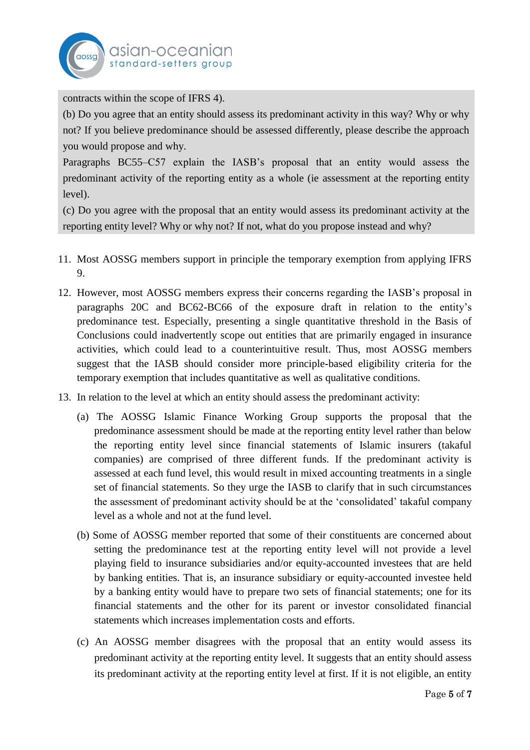

contracts within the scope of IFRS 4).

(b) Do you agree that an entity should assess its predominant activity in this way? Why or why not? If you believe predominance should be assessed differently, please describe the approach you would propose and why.

Paragraphs BC55–C57 explain the IASB's proposal that an entity would assess the predominant activity of the reporting entity as a whole (ie assessment at the reporting entity level).

(c) Do you agree with the proposal that an entity would assess its predominant activity at the reporting entity level? Why or why not? If not, what do you propose instead and why?

- 11. Most AOSSG members support in principle the temporary exemption from applying IFRS 9.
- 12. However, most AOSSG members express their concerns regarding the IASB's proposal in paragraphs 20C and BC62-BC66 of the exposure draft in relation to the entity's predominance test. Especially, presenting a single quantitative threshold in the Basis of Conclusions could inadvertently scope out entities that are primarily engaged in insurance activities, which could lead to a counterintuitive result. Thus, most AOSSG members suggest that the IASB should consider more principle-based eligibility criteria for the temporary exemption that includes quantitative as well as qualitative conditions.
- 13. In relation to the level at which an entity should assess the predominant activity:
	- (a) The AOSSG Islamic Finance Working Group supports the proposal that the predominance assessment should be made at the reporting entity level rather than below the reporting entity level since financial statements of Islamic insurers (takaful companies) are comprised of three different funds. If the predominant activity is assessed at each fund level, this would result in mixed accounting treatments in a single set of financial statements. So they urge the IASB to clarify that in such circumstances the assessment of predominant activity should be at the 'consolidated' takaful company level as a whole and not at the fund level.
	- (b) Some of AOSSG member reported that some of their constituents are concerned about setting the predominance test at the reporting entity level will not provide a level playing field to insurance subsidiaries and/or equity-accounted investees that are held by banking entities. That is, an insurance subsidiary or equity-accounted investee held by a banking entity would have to prepare two sets of financial statements; one for its financial statements and the other for its parent or investor consolidated financial statements which increases implementation costs and efforts.
	- (c) An AOSSG member disagrees with the proposal that an entity would assess its predominant activity at the reporting entity level. It suggests that an entity should assess its predominant activity at the reporting entity level at first. If it is not eligible, an entity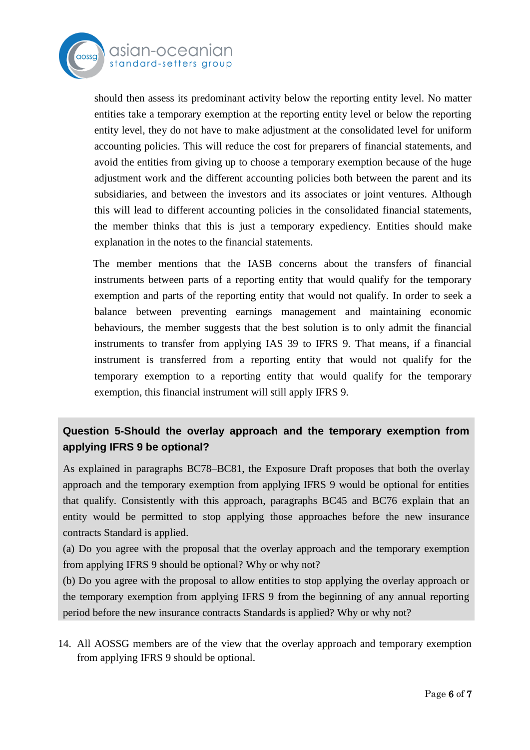

asian-oceal standard-setters aroup

should then assess its predominant activity below the reporting entity level. No matter entities take a temporary exemption at the reporting entity level or below the reporting entity level, they do not have to make adjustment at the consolidated level for uniform accounting policies. This will reduce the cost for preparers of financial statements, and avoid the entities from giving up to choose a temporary exemption because of the huge adjustment work and the different accounting policies both between the parent and its subsidiaries, and between the investors and its associates or joint ventures. Although this will lead to different accounting policies in the consolidated financial statements, the member thinks that this is just a temporary expediency. Entities should make explanation in the notes to the financial statements.

 The member mentions that the IASB concerns about the transfers of financial instruments between parts of a reporting entity that would qualify for the temporary exemption and parts of the reporting entity that would not qualify. In order to seek a balance between preventing earnings management and maintaining economic behaviours, the member suggests that the best solution is to only admit the financial instruments to transfer from applying IAS 39 to IFRS 9. That means, if a financial instrument is transferred from a reporting entity that would not qualify for the temporary exemption to a reporting entity that would qualify for the temporary exemption, this financial instrument will still apply IFRS 9.

# **Question 5-Should the overlay approach and the temporary exemption from applying IFRS 9 be optional?**

As explained in paragraphs BC78–BC81, the Exposure Draft proposes that both the overlay approach and the temporary exemption from applying IFRS 9 would be optional for entities that qualify. Consistently with this approach, paragraphs BC45 and BC76 explain that an entity would be permitted to stop applying those approaches before the new insurance contracts Standard is applied.

(a) Do you agree with the proposal that the overlay approach and the temporary exemption from applying IFRS 9 should be optional? Why or why not?

(b) Do you agree with the proposal to allow entities to stop applying the overlay approach or the temporary exemption from applying IFRS 9 from the beginning of any annual reporting period before the new insurance contracts Standards is applied? Why or why not?

14. All AOSSG members are of the view that the overlay approach and temporary exemption from applying IFRS 9 should be optional.